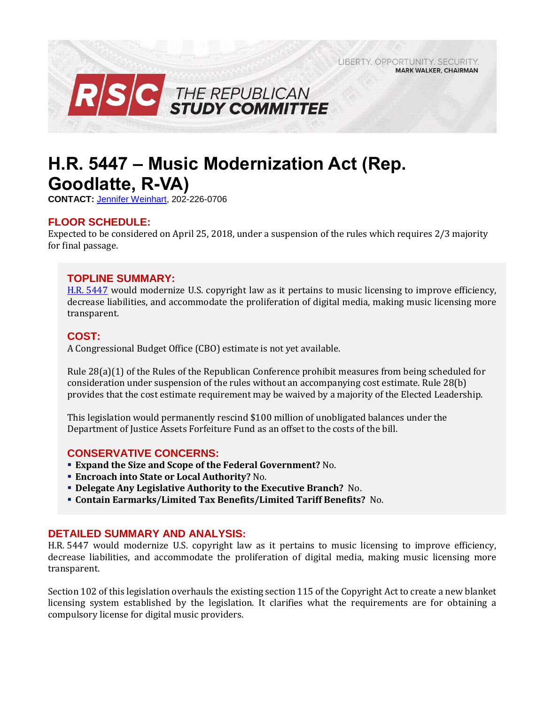LIBERTY, OPPORTUNITY, SECURITY, **MARK WALKER, CHAIRMAN** 



# **H.R. 5447 – Music Modernization Act (Rep. Goodlatte, R-VA)**

**CONTACT:** [Jennifer Weinhart,](mailto:jennifer.weinhart@mail.house.gov) 202-226-0706

### **FLOOR SCHEDULE:**

Expected to be considered on April 25, 2018, under a suspension of the rules which requires 2/3 majority for final passage.

#### **TOPLINE SUMMARY:**

H.R. [5447](https://docs.house.gov/billsthisweek/20180423/HR5447.pdf) would modernize U.S. copyright law as it pertains to music licensing to improve efficiency, decrease liabilities, and accommodate the proliferation of digital media, making music licensing more transparent.

#### **COST:**

A Congressional Budget Office (CBO) estimate is not yet available.

Rule 28(a)(1) of the Rules of the Republican Conference prohibit measures from being scheduled for consideration under suspension of the rules without an accompanying cost estimate. Rule 28(b) provides that the cost estimate requirement may be waived by a majority of the Elected Leadership.

This legislation would permanently rescind \$100 million of unobligated balances under the Department of Justice Assets Forfeiture Fund as an offset to the costs of the bill.

#### **CONSERVATIVE CONCERNS:**

- **Expand the Size and Scope of the Federal Government?** No.
- **Encroach into State or Local Authority?** No.
- **Delegate Any Legislative Authority to the Executive Branch?** No.
- **Contain Earmarks/Limited Tax Benefits/Limited Tariff Benefits?** No.

#### **DETAILED SUMMARY AND ANALYSIS:**

H.R. 5447 would modernize U.S. copyright law as it pertains to music licensing to improve efficiency, decrease liabilities, and accommodate the proliferation of digital media, making music licensing more transparent.

Section 102 of this legislation overhauls the existing section 115 of the Copyright Act to create a new blanket licensing system established by the legislation. It clarifies what the requirements are for obtaining a compulsory license for digital music providers.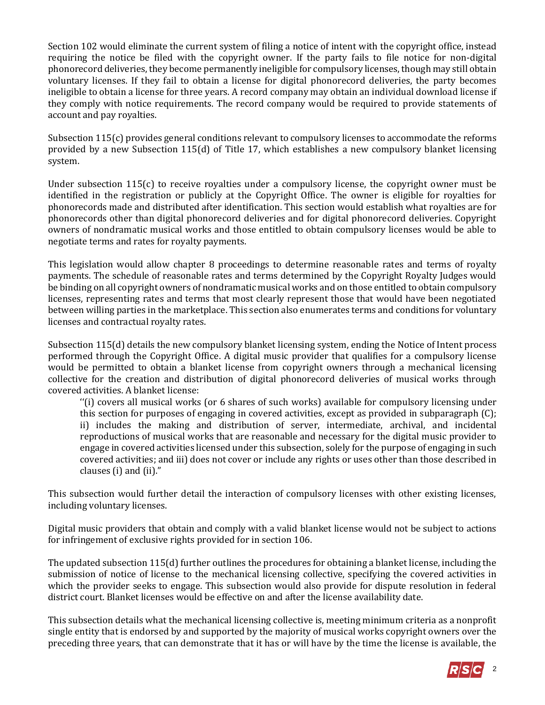Section 102 would eliminate the current system of filing a notice of intent with the copyright office, instead requiring the notice be filed with the copyright owner. If the party fails to file notice for non-digital phonorecord deliveries, they become permanently ineligible for compulsory licenses, though may still obtain voluntary licenses. If they fail to obtain a license for digital phonorecord deliveries, the party becomes ineligible to obtain a license for three years. A record company may obtain an individual download license if they comply with notice requirements. The record company would be required to provide statements of account and pay royalties.

Subsection 115(c) provides general conditions relevant to compulsory licenses to accommodate the reforms provided by a new Subsection 115(d) of Title 17, which establishes a new compulsory blanket licensing system.

Under subsection 115(c) to receive royalties under a compulsory license, the copyright owner must be identified in the registration or publicly at the Copyright Office. The owner is eligible for royalties for phonorecords made and distributed after identification. This section would establish what royalties are for phonorecords other than digital phonorecord deliveries and for digital phonorecord deliveries. Copyright owners of nondramatic musical works and those entitled to obtain compulsory licenses would be able to negotiate terms and rates for royalty payments.

This legislation would allow chapter 8 proceedings to determine reasonable rates and terms of royalty payments. The schedule of reasonable rates and terms determined by the Copyright Royalty Judges would be binding on all copyright owners of nondramatic musical works and on those entitled to obtain compulsory licenses, representing rates and terms that most clearly represent those that would have been negotiated between willing parties in the marketplace. This section also enumerates terms and conditions for voluntary licenses and contractual royalty rates.

Subsection 115(d) details the new compulsory blanket licensing system, ending the Notice of Intent process performed through the Copyright Office. A digital music provider that qualifies for a compulsory license would be permitted to obtain a blanket license from copyright owners through a mechanical licensing collective for the creation and distribution of digital phonorecord deliveries of musical works through covered activities. A blanket license:

''(i) covers all musical works (or 6 shares of such works) available for compulsory licensing under this section for purposes of engaging in covered activities, except as provided in subparagraph (C); ii) includes the making and distribution of server, intermediate, archival, and incidental reproductions of musical works that are reasonable and necessary for the digital music provider to engage in covered activities licensed under this subsection, solely for the purpose of engaging in such covered activities; and iii) does not cover or include any rights or uses other than those described in clauses (i) and (ii)."

This subsection would further detail the interaction of compulsory licenses with other existing licenses, including voluntary licenses.

Digital music providers that obtain and comply with a valid blanket license would not be subject to actions for infringement of exclusive rights provided for in section 106.

The updated subsection 115(d) further outlines the procedures for obtaining a blanket license, including the submission of notice of license to the mechanical licensing collective, specifying the covered activities in which the provider seeks to engage. This subsection would also provide for dispute resolution in federal district court. Blanket licenses would be effective on and after the license availability date.

This subsection details what the mechanical licensing collective is, meeting minimum criteria as a nonprofit single entity that is endorsed by and supported by the majority of musical works copyright owners over the preceding three years, that can demonstrate that it has or will have by the time the license is available, the

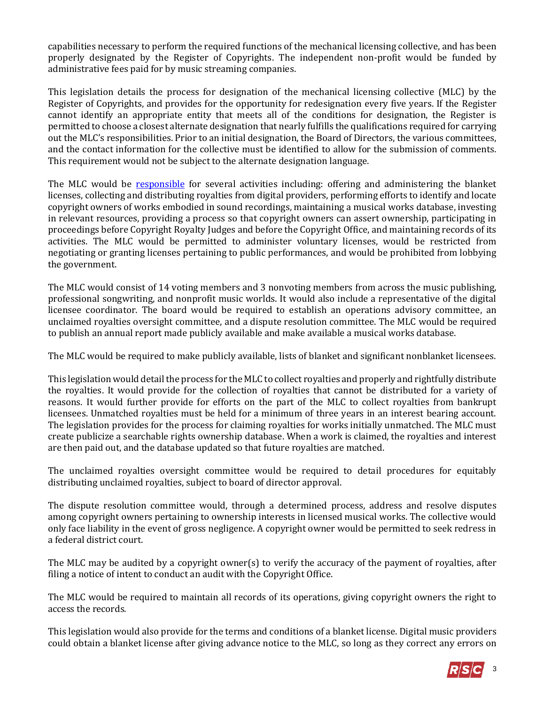capabilities necessary to perform the required functions of the mechanical licensing collective, and has been properly designated by the Register of Copyrights. The independent non-profit would be funded by administrative fees paid for by music streaming companies.

This legislation details the process for designation of the mechanical licensing collective (MLC) by the Register of Copyrights, and provides for the opportunity for redesignation every five years. If the Register cannot identify an appropriate entity that meets all of the conditions for designation, the Register is permitted to choose a closest alternate designation that nearly fulfills the qualifications required for carrying out the MLC's responsibilities. Prior to an initial designation, the Board of Directors, the various committees, and the contact information for the collective must be identified to allow for the submission of comments. This requirement would not be subject to the alternate designation language.

The MLC would be [responsible](https://www.ipwatchdog.com/2018/04/12/music-modernization-act-introduced-house/id=95797/) for several activities including: offering and administering the blanket licenses, collecting and distributing royalties from digital providers, performing efforts to identify and locate copyright owners of works embodied in sound recordings, maintaining a musical works database, investing in relevant resources, providing a process so that copyright owners can assert ownership, participating in proceedings before Copyright Royalty Judges and before the Copyright Office, and maintaining records of its activities. The MLC would be permitted to administer voluntary licenses, would be restricted from negotiating or granting licenses pertaining to public performances, and would be prohibited from lobbying the government.

The MLC would consist of 14 voting members and 3 nonvoting members from across the music publishing, professional songwriting, and nonprofit music worlds. It would also include a representative of the digital licensee coordinator. The board would be required to establish an operations advisory committee, an unclaimed royalties oversight committee, and a dispute resolution committee. The MLC would be required to publish an annual report made publicly available and make available a musical works database.

The MLC would be required to make publicly available, lists of blanket and significant nonblanket licensees.

This legislation would detail the process for the MLC to collect royalties and properly and rightfully distribute the royalties. It would provide for the collection of royalties that cannot be distributed for a variety of reasons. It would further provide for efforts on the part of the MLC to collect royalties from bankrupt licensees. Unmatched royalties must be held for a minimum of three years in an interest bearing account. The legislation provides for the process for claiming royalties for works initially unmatched. The MLC must create publicize a searchable rights ownership database. When a work is claimed, the royalties and interest are then paid out, and the database updated so that future royalties are matched.

The unclaimed royalties oversight committee would be required to detail procedures for equitably distributing unclaimed royalties, subject to board of director approval.

The dispute resolution committee would, through a determined process, address and resolve disputes among copyright owners pertaining to ownership interests in licensed musical works. The collective would only face liability in the event of gross negligence. A copyright owner would be permitted to seek redress in a federal district court.

The MLC may be audited by a copyright owner(s) to verify the accuracy of the payment of royalties, after filing a notice of intent to conduct an audit with the Copyright Office.

The MLC would be required to maintain all records of its operations, giving copyright owners the right to access the records.

This legislation would also provide for the terms and conditions of a blanket license. Digital music providers could obtain a blanket license after giving advance notice to the MLC, so long as they correct any errors on

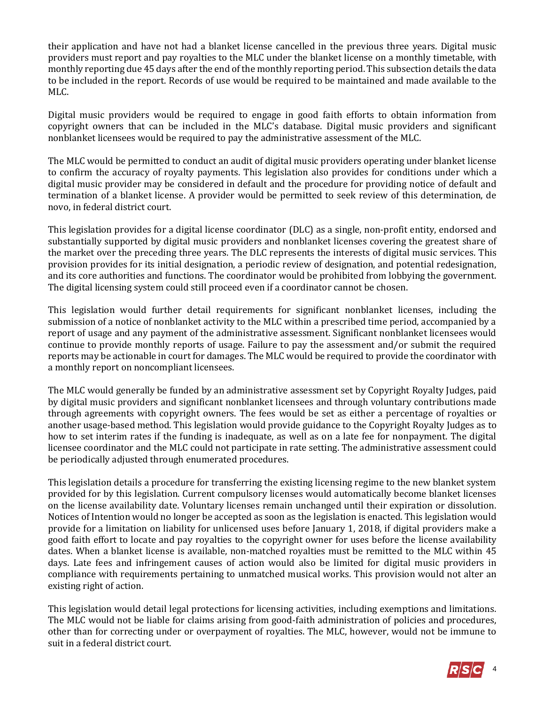their application and have not had a blanket license cancelled in the previous three years. Digital music providers must report and pay royalties to the MLC under the blanket license on a monthly timetable, with monthly reporting due 45 days after the end of the monthly reporting period. This subsection details the data to be included in the report. Records of use would be required to be maintained and made available to the MLC.

Digital music providers would be required to engage in good faith efforts to obtain information from copyright owners that can be included in the MLC's database. Digital music providers and significant nonblanket licensees would be required to pay the administrative assessment of the MLC.

The MLC would be permitted to conduct an audit of digital music providers operating under blanket license to confirm the accuracy of royalty payments. This legislation also provides for conditions under which a digital music provider may be considered in default and the procedure for providing notice of default and termination of a blanket license. A provider would be permitted to seek review of this determination, de novo, in federal district court.

This legislation provides for a digital license coordinator (DLC) as a single, non-profit entity, endorsed and substantially supported by digital music providers and nonblanket licenses covering the greatest share of the market over the preceding three years. The DLC represents the interests of digital music services. This provision provides for its initial designation, a periodic review of designation, and potential redesignation, and its core authorities and functions. The coordinator would be prohibited from lobbying the government. The digital licensing system could still proceed even if a coordinator cannot be chosen.

This legislation would further detail requirements for significant nonblanket licenses, including the submission of a notice of nonblanket activity to the MLC within a prescribed time period, accompanied by a report of usage and any payment of the administrative assessment. Significant nonblanket licensees would continue to provide monthly reports of usage. Failure to pay the assessment and/or submit the required reports may be actionable in court for damages. The MLC would be required to provide the coordinator with a monthly report on noncompliant licensees.

The MLC would generally be funded by an administrative assessment set by Copyright Royalty Judges, paid by digital music providers and significant nonblanket licensees and through voluntary contributions made through agreements with copyright owners. The fees would be set as either a percentage of royalties or another usage-based method. This legislation would provide guidance to the Copyright Royalty Judges as to how to set interim rates if the funding is inadequate, as well as on a late fee for nonpayment. The digital licensee coordinator and the MLC could not participate in rate setting. The administrative assessment could be periodically adjusted through enumerated procedures.

This legislation details a procedure for transferring the existing licensing regime to the new blanket system provided for by this legislation. Current compulsory licenses would automatically become blanket licenses on the license availability date. Voluntary licenses remain unchanged until their expiration or dissolution. Notices of Intention would no longer be accepted as soon as the legislation is enacted. This legislation would provide for a limitation on liability for unlicensed uses before January 1, 2018, if digital providers make a good faith effort to locate and pay royalties to the copyright owner for uses before the license availability dates. When a blanket license is available, non-matched royalties must be remitted to the MLC within 45 days. Late fees and infringement causes of action would also be limited for digital music providers in compliance with requirements pertaining to unmatched musical works. This provision would not alter an existing right of action.

This legislation would detail legal protections for licensing activities, including exemptions and limitations. The MLC would not be liable for claims arising from good-faith administration of policies and procedures, other than for correcting under or overpayment of royalties. The MLC, however, would not be immune to suit in a federal district court.

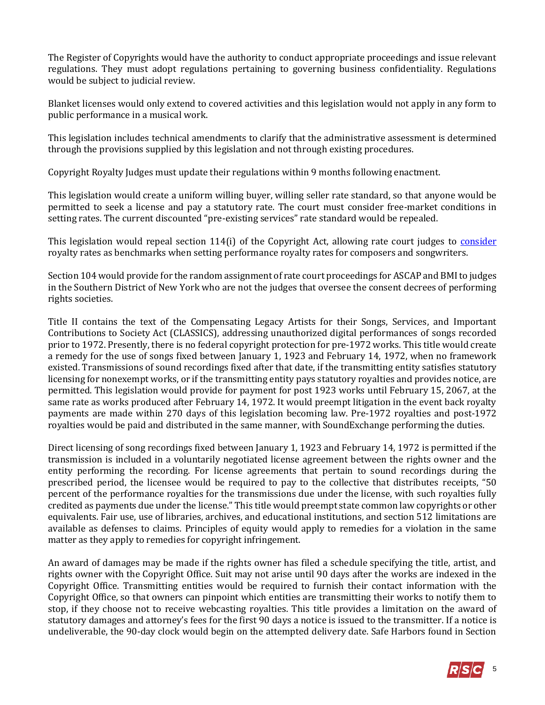The Register of Copyrights would have the authority to conduct appropriate proceedings and issue relevant regulations. They must adopt regulations pertaining to governing business confidentiality. Regulations would be subject to judicial review.

Blanket licenses would only extend to covered activities and this legislation would not apply in any form to public performance in a musical work.

This legislation includes technical amendments to clarify that the administrative assessment is determined through the provisions supplied by this legislation and not through existing procedures.

Copyright Royalty Judges must update their regulations within 9 months following enactment.

This legislation would create a uniform willing buyer, willing seller rate standard, so that anyone would be permitted to seek a license and pay a statutory rate. The court must consider free-market conditions in setting rates. The current discounted "pre-existing services" rate standard would be repealed.

This legislation would repeal section 114(i) of the Copyright Act, allowing rate court judges to [consider](http://variety.com/2018/biz/news/congress-music-copyright-judy-chu-doug-collins-1202756699/) royalty rates as benchmarks when setting performance royalty rates for composers and songwriters.

Section 104 would provide for the random assignment of rate court proceedings for ASCAP and BMI to judges in the Southern District of New York who are not the judges that oversee the consent decrees of performing rights societies.

Title II contains the text of the Compensating Legacy Artists for their Songs, Services, and Important Contributions to Society Act (CLASSICS), addressing unauthorized digital performances of songs recorded prior to 1972. Presently, there is no federal copyright protection for pre-1972 works. This title would create a remedy for the use of songs fixed between January 1, 1923 and February 14, 1972, when no framework existed. Transmissions of sound recordings fixed after that date, if the transmitting entity satisfies statutory licensing for nonexempt works, or if the transmitting entity pays statutory royalties and provides notice, are permitted. This legislation would provide for payment for post 1923 works until February 15, 2067, at the same rate as works produced after February 14, 1972. It would preempt litigation in the event back royalty payments are made within 270 days of this legislation becoming law. Pre-1972 royalties and post-1972 royalties would be paid and distributed in the same manner, with SoundExchange performing the duties.

Direct licensing of song recordings fixed between January 1, 1923 and February 14, 1972 is permitted if the transmission is included in a voluntarily negotiated license agreement between the rights owner and the entity performing the recording. For license agreements that pertain to sound recordings during the prescribed period, the licensee would be required to pay to the collective that distributes receipts, "50 percent of the performance royalties for the transmissions due under the license, with such royalties fully credited as payments due under the license." This title would preempt state common law copyrights or other equivalents. Fair use, use of libraries, archives, and educational institutions, and section 512 limitations are available as defenses to claims. Principles of equity would apply to remedies for a violation in the same matter as they apply to remedies for copyright infringement.

An award of damages may be made if the rights owner has filed a schedule specifying the title, artist, and rights owner with the Copyright Office. Suit may not arise until 90 days after the works are indexed in the Copyright Office. Transmitting entities would be required to furnish their contact information with the Copyright Office, so that owners can pinpoint which entities are transmitting their works to notify them to stop, if they choose not to receive webcasting royalties. This title provides a limitation on the award of statutory damages and attorney's fees for the first 90 days a notice is issued to the transmitter. If a notice is undeliverable, the 90-day clock would begin on the attempted delivery date. Safe Harbors found in Section

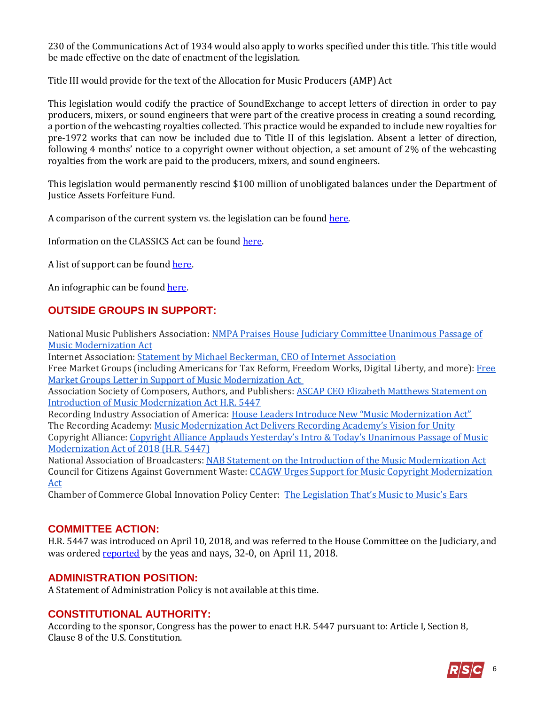230 of the Communications Act of 1934 would also apply to works specified under this title. This title would be made effective on the date of enactment of the legislation.

Title III would provide for the text of the Allocation for Music Producers (AMP) Act

This legislation would codify the practice of SoundExchange to accept letters of direction in order to pay producers, mixers, or sound engineers that were part of the creative process in creating a sound recording, a portion of the webcasting royalties collected. This practice would be expanded to include new royalties for pre-1972 works that can now be included due to Title II of this legislation. Absent a letter of direction, following 4 months' notice to a copyright owner without objection, a set amount of 2% of the webcasting royalties from the work are paid to the producers, mixers, and sound engineers.

This legislation would permanently rescind \$100 million of unobligated balances under the Department of Justice Assets Forfeiture Fund.

A comparison of the current system vs. the legislation can be found [here.](https://rsc-walker.house.gov/sites/republicanstudycommittee.house.gov/files/wysiwyg_uploaded/NMPA%20Music%20Mod.%20Act%20Hill%20Doc%20Comparing%20Current%20System%20to%20MMA_0.docx)

Information on the CLASSICS Act can be found [here.](https://rsc-walker.house.gov/sites/republicanstudycommittee.house.gov/files/wysiwyg_uploaded/Keep%20CLASSICS%20Non-Controversial%203-26-18%20%283%29.pdf)

A list of support can be found [here.](https://rsc-walker.house.gov/sites/republicanstudycommittee.house.gov/files/wysiwyg_uploaded/MMA%20HR%205447%20Supporters.pdf)

An infographic can be found [here.](https://rsc-walker.house.gov/sites/republicanstudycommittee.house.gov/files/wysiwyg_uploaded/3.1.18%20DiMA%20Graphic%20on%20MMA.pdf)

# **OUTSIDE GROUPS IN SUPPORT:**

National Music Publishers Association: [NMPA Praises House Judiciary Committee Unanimous Passage of](http://nmpa.org/press_release/nmpa-praises-house-judiciary-committee-unanimous-passage-of-music-modernization-act/)  [Music Modernization Act](http://nmpa.org/press_release/nmpa-praises-house-judiciary-committee-unanimous-passage-of-music-modernization-act/)

Internet Association[: Statement by Michael Beckerman, CEO of Internet Association](https://internetassociation.org/statement-house-judiciary-committee-passage-music-modernization-act/)

Free Market Groups (including Americans for Tax Reform, Freedom Works, Digital Liberty, and more)[: Free](http://files.constantcontact.com/fb477d60301/2aeb9603-801c-4b6f-82ba-2965785717ba.pdf)  [Market Groups Letter in Support of Music Modernization Act](http://files.constantcontact.com/fb477d60301/2aeb9603-801c-4b6f-82ba-2965785717ba.pdf) 

Association Society of Composers, Authors, and Publishers: **ASCAP CEO Elizabeth Matthews Statement on** [Introduction of Music Modernization Act H.R. 5447](https://www.ascap.com/press/2018/04/04-10-beth-mma-5447-statement)

Recording Industry Association of America: [House Leaders Introduce New "Music Modernization Act"](https://www.riaa.com/house-leaders-introduce-new-music-modernization-act/) The Recording Academy: [Music Modernization Act Delivers Recording Academy's Vision for Unity](https://www.grammy.com/press-releases/music-modernization-act-delivers-recording-academy%E2%84%A2s-vision-unity) Copyright Alliance: Copyright Alliance Applauds [Yesterday's](https://copyrightalliance.org/news-events/press-releases/music-modernization-act-2018-passage/) Intro & Today's Unanimous Passage of Music [Modernization](https://copyrightalliance.org/news-events/press-releases/music-modernization-act-2018-passage/) Act of 2018 (H.R. 5447)

National Association of Broadcasters: [NAB Statement on the Introduction of the Music Modernization Act](http://www.nab.org/documents/newsRoom/pressRelease.asp?id=4506) Council for Citizens Against Government Waste[: CCAGW Urges Support for Music Copyright Modernization](https://www.ccagw.org/legislative-affairs/letters-officials/ccagw-urges-support-music-copyright-modernization-act)  [Act](https://www.ccagw.org/legislative-affairs/letters-officials/ccagw-urges-support-music-copyright-modernization-act)

Chamber of Commerce Global Innovation Policy Center: [The Legislation That's Music to Music's Ears](http://www.theglobalipcenter.com/the-legislation-thats-music-to-musics-ears/)

#### **COMMITTEE ACTION:**

H.R. 5447 was introduced on April 10, 2018, and was referred to the House Committee on the Judiciary, and was ordered **reported** by the yeas and nays, 32-0, on April 11, 2018.

#### **ADMINISTRATION POSITION:**

A Statement of Administration Policy is not available at this time.

## **CONSTITUTIONAL AUTHORITY:**

According to the sponsor, Congress has the power to enact H.R. 5447 pursuant to: Article I, Section 8, Clause 8 of the U.S. Constitution.